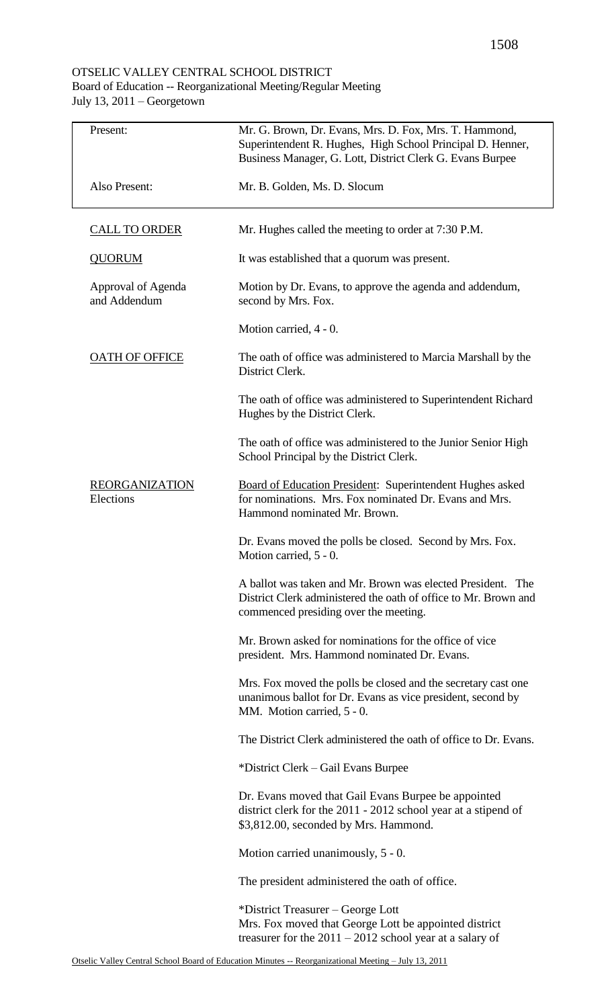## OTSELIC VALLEY CENTRAL SCHOOL DISTRICT

## Board of Education -- Reorganizational Meeting/Regular Meeting July 13, 2011 – Georgetown

| Present:                           | Mr. G. Brown, Dr. Evans, Mrs. D. Fox, Mrs. T. Hammond,<br>Superintendent R. Hughes, High School Principal D. Henner,<br>Business Manager, G. Lott, District Clerk G. Evans Burpee |  |
|------------------------------------|-----------------------------------------------------------------------------------------------------------------------------------------------------------------------------------|--|
| Also Present:                      | Mr. B. Golden, Ms. D. Slocum                                                                                                                                                      |  |
| <b>CALL TO ORDER</b>               | Mr. Hughes called the meeting to order at 7:30 P.M.                                                                                                                               |  |
| <b>QUORUM</b>                      | It was established that a quorum was present.                                                                                                                                     |  |
| Approval of Agenda<br>and Addendum | Motion by Dr. Evans, to approve the agenda and addendum,<br>second by Mrs. Fox.                                                                                                   |  |
|                                    | Motion carried, 4 - 0.                                                                                                                                                            |  |
| <b>OATH OF OFFICE</b>              | The oath of office was administered to Marcia Marshall by the<br>District Clerk.                                                                                                  |  |
|                                    | The oath of office was administered to Superintendent Richard<br>Hughes by the District Clerk.                                                                                    |  |
|                                    | The oath of office was administered to the Junior Senior High<br>School Principal by the District Clerk.                                                                          |  |
| <b>REORGANIZATION</b><br>Elections | <b>Board of Education President: Superintendent Hughes asked</b><br>for nominations. Mrs. Fox nominated Dr. Evans and Mrs.<br>Hammond nominated Mr. Brown.                        |  |
|                                    | Dr. Evans moved the polls be closed. Second by Mrs. Fox.<br>Motion carried, 5 - 0.                                                                                                |  |
|                                    | A ballot was taken and Mr. Brown was elected President. The<br>District Clerk administered the oath of office to Mr. Brown and<br>commenced presiding over the meeting.           |  |
|                                    | Mr. Brown asked for nominations for the office of vice<br>president. Mrs. Hammond nominated Dr. Evans.                                                                            |  |
|                                    | Mrs. Fox moved the polls be closed and the secretary cast one<br>unanimous ballot for Dr. Evans as vice president, second by<br>MM. Motion carried, 5 - 0.                        |  |
|                                    | The District Clerk administered the oath of office to Dr. Evans.                                                                                                                  |  |
|                                    | *District Clerk – Gail Evans Burpee                                                                                                                                               |  |
|                                    | Dr. Evans moved that Gail Evans Burpee be appointed<br>district clerk for the 2011 - 2012 school year at a stipend of<br>\$3,812.00, seconded by Mrs. Hammond.                    |  |
|                                    | Motion carried unanimously, $5 - 0$ .                                                                                                                                             |  |
|                                    | The president administered the oath of office.                                                                                                                                    |  |
|                                    | *District Treasurer – George Lott                                                                                                                                                 |  |
|                                    | Mrs. Fox moved that George Lott be appointed district<br>treasurer for the $2011 - 2012$ school year at a salary of                                                               |  |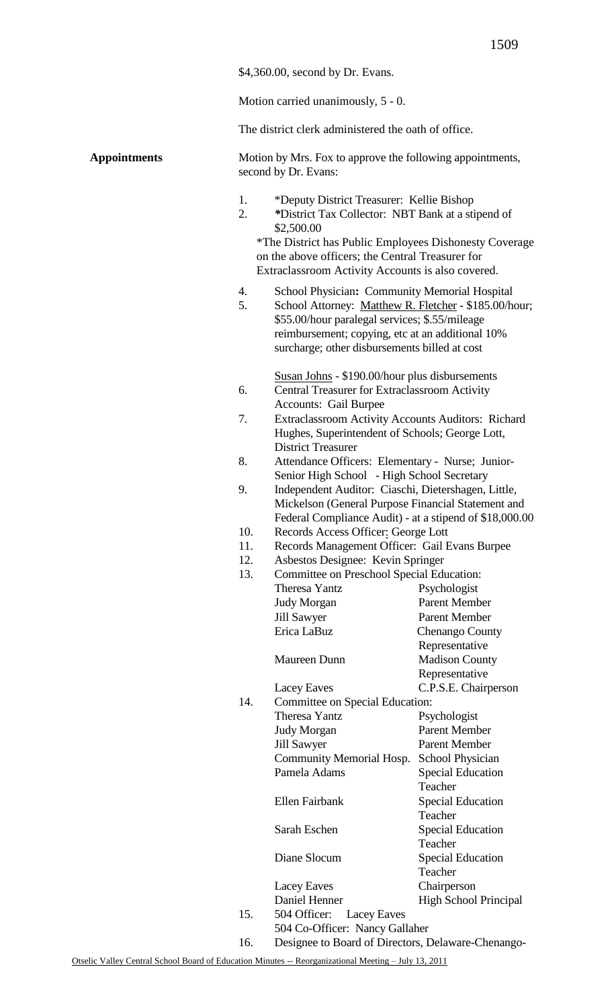| \$4,360.00, second by Dr. Evans. |  |
|----------------------------------|--|
|----------------------------------|--|

Motion carried unanimously, 5 - 0.

The district clerk administered the oath of office.

## **Appointments**

|                      | Motion by Mrs. Fox to approve the following appointments, |
|----------------------|-----------------------------------------------------------|
| second by Dr. Evans: |                                                           |

- 1. \*Deputy District Treasurer: Kellie Bishop
- 2. *\**District Tax Collector: NBT Bank at a stipend of \$2,500.00

\*The District has Public Employees Dishonesty Coverage on the above officers; the Central Treasurer for Extraclassroom Activity Accounts is also covered.

- 4. School Physician**:** Community Memorial Hospital
- 5. School Attorney: Matthew R. Fletcher \$185.00/hour; \$55.00/hour paralegal services; \$.55/mileage reimbursement; copying, etc at an additional 10% surcharge; other disbursements billed at cost
- Susan Johns \$190.00/hour plus disbursements 6. Central Treasurer for Extraclassroom Activity Accounts: Gail Burpee
- 7. Extraclassroom Activity Accounts Auditors: Richard Hughes, Superintendent of Schools; George Lott, District Treasurer
- 8. Attendance Officers: Elementary Nurse; Junior-Senior High School - High School Secretary
- 9. Independent Auditor: Ciaschi, Dietershagen, Little, Mickelson (General Purpose Financial Statement and Federal Compliance Audit) - at a stipend of \$18,000.00
- 10. Records Access Officer: George Lott
- 11. Records Management Officer: Gail Evans Burpee
- 12. Asbestos Designee: Kevin Springer

| 13. | Committee on Preschool Special Education:          |                              |  |
|-----|----------------------------------------------------|------------------------------|--|
|     | <b>Theresa Yantz</b>                               | Psychologist                 |  |
|     | <b>Judy Morgan</b>                                 | <b>Parent Member</b>         |  |
|     | <b>Jill Sawyer</b>                                 | <b>Parent Member</b>         |  |
|     | Erica LaBuz                                        | <b>Chenango County</b>       |  |
|     |                                                    | Representative               |  |
|     | <b>Maureen Dunn</b>                                | <b>Madison County</b>        |  |
|     |                                                    | Representative               |  |
|     | <b>Lacey Eaves</b>                                 | C.P.S.E. Chairperson         |  |
| 14. | Committee on Special Education:                    |                              |  |
|     | <b>Theresa Yantz</b>                               | Psychologist                 |  |
|     | <b>Judy Morgan</b>                                 | <b>Parent Member</b>         |  |
|     | <b>Jill Sawyer</b>                                 | <b>Parent Member</b>         |  |
|     | <b>Community Memorial Hosp.</b>                    | School Physician             |  |
|     | Pamela Adams                                       | <b>Special Education</b>     |  |
|     |                                                    | Teacher                      |  |
|     | Ellen Fairbank                                     | <b>Special Education</b>     |  |
|     |                                                    | Teacher                      |  |
|     | Sarah Eschen                                       | <b>Special Education</b>     |  |
|     |                                                    | Teacher                      |  |
|     | Diane Slocum                                       | <b>Special Education</b>     |  |
|     |                                                    | Teacher                      |  |
|     | Lacey Eaves                                        | Chairperson                  |  |
|     | Daniel Henner                                      | <b>High School Principal</b> |  |
| 15. | 504 Officer:<br>Lacey Eaves                        |                              |  |
|     | 504 Co-Officer: Nancy Gallaher                     |                              |  |
| 16. | Designee to Board of Directors, Delaware-Chenango- |                              |  |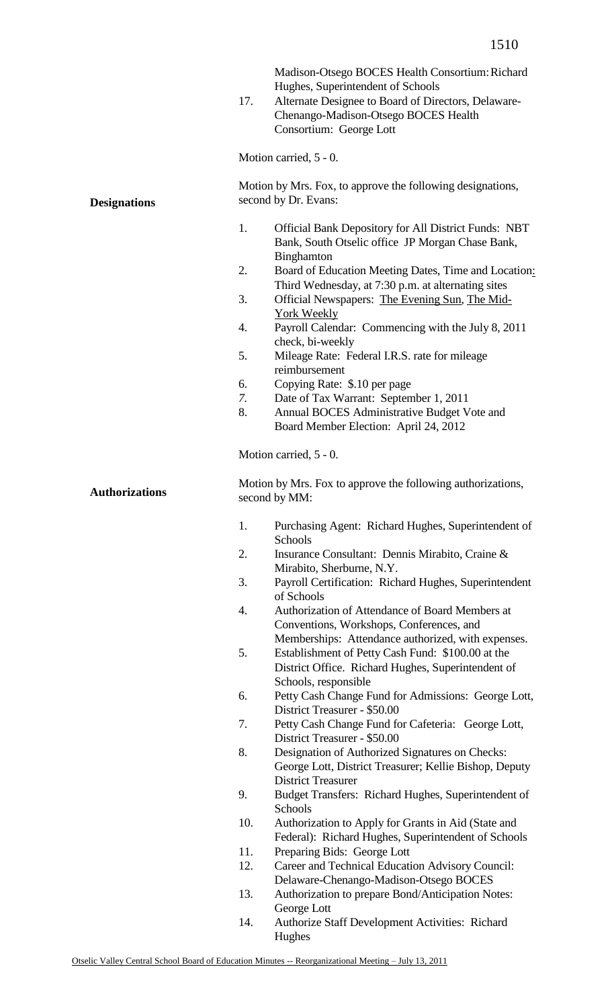|                       | 17.                                                                                | Madison-Otsego BOCES Health Consortium: Richard<br>Hughes, Superintendent of Schools<br>Alternate Designee to Board of Directors, Delaware-<br>Chenango-Madison-Otsego BOCES Health<br>Consortium: George Lott |  |
|-----------------------|------------------------------------------------------------------------------------|----------------------------------------------------------------------------------------------------------------------------------------------------------------------------------------------------------------|--|
|                       |                                                                                    | Motion carried, 5 - 0.                                                                                                                                                                                         |  |
| <b>Designations</b>   | Motion by Mrs. Fox, to approve the following designations,<br>second by Dr. Evans: |                                                                                                                                                                                                                |  |
|                       | 1.                                                                                 | <b>Official Bank Depository for All District Funds: NBT</b><br>Bank, South Otselic office JP Morgan Chase Bank,<br>Binghamton                                                                                  |  |
|                       | 2.                                                                                 | Board of Education Meeting Dates, Time and Location:<br>Third Wednesday, at 7:30 p.m. at alternating sites                                                                                                     |  |
|                       | 3.                                                                                 | Official Newspapers: The Evening Sun, The Mid-<br>York Weekly                                                                                                                                                  |  |
|                       | 4.                                                                                 | Payroll Calendar: Commencing with the July 8, 2011<br>check, bi-weekly                                                                                                                                         |  |
|                       | 5.                                                                                 | Mileage Rate: Federal I.R.S. rate for mileage<br>reimbursement                                                                                                                                                 |  |
|                       | 6.                                                                                 | Copying Rate: \$.10 per page                                                                                                                                                                                   |  |
|                       | 7.                                                                                 | Date of Tax Warrant: September 1, 2011                                                                                                                                                                         |  |
|                       | 8.                                                                                 | Annual BOCES Administrative Budget Vote and                                                                                                                                                                    |  |
|                       |                                                                                    | Board Member Election: April 24, 2012                                                                                                                                                                          |  |
|                       |                                                                                    | Motion carried, 5 - 0.                                                                                                                                                                                         |  |
| <b>Authorizations</b> |                                                                                    | Motion by Mrs. Fox to approve the following authorizations,<br>second by MM:                                                                                                                                   |  |
|                       | 1.                                                                                 | Purchasing Agent: Richard Hughes, Superintendent of<br>Schools                                                                                                                                                 |  |
|                       | 2.                                                                                 | Insurance Consultant: Dennis Mirabito, Craine &<br>Mirabito, Sherburne, N.Y.                                                                                                                                   |  |
|                       | 3.                                                                                 | Payroll Certification: Richard Hughes, Superintendent<br>of Schools                                                                                                                                            |  |
|                       | 4.                                                                                 | Authorization of Attendance of Board Members at<br>Conventions, Workshops, Conferences, and                                                                                                                    |  |
|                       | 5.                                                                                 | Memberships: Attendance authorized, with expenses.<br>Establishment of Petty Cash Fund: \$100.00 at the<br>District Office. Richard Hughes, Superintendent of                                                  |  |
|                       | 6.                                                                                 | Schools, responsible<br>Petty Cash Change Fund for Admissions: George Lott,                                                                                                                                    |  |
|                       | 7.                                                                                 | District Treasurer - \$50.00<br>Petty Cash Change Fund for Cafeteria: George Lott,                                                                                                                             |  |
|                       |                                                                                    | District Treasurer - \$50.00                                                                                                                                                                                   |  |
|                       | 8.                                                                                 | Designation of Authorized Signatures on Checks:<br>George Lott, District Treasurer; Kellie Bishop, Deputy<br><b>District Treasurer</b>                                                                         |  |
|                       | 9.                                                                                 | Budget Transfers: Richard Hughes, Superintendent of<br>Schools                                                                                                                                                 |  |
|                       | 10.                                                                                | Authorization to Apply for Grants in Aid (State and<br>Federal): Richard Hughes, Superintendent of Schools                                                                                                     |  |
|                       | 11.                                                                                | Preparing Bids: George Lott                                                                                                                                                                                    |  |
|                       | 12.                                                                                | Career and Technical Education Advisory Council:                                                                                                                                                               |  |
|                       |                                                                                    | Delaware-Chenango-Madison-Otsego BOCES                                                                                                                                                                         |  |
|                       | 13.                                                                                | Authorization to prepare Bond/Anticipation Notes:<br>George Lott                                                                                                                                               |  |
|                       | 14.                                                                                | Authorize Staff Development Activities: Richard<br>Hughes                                                                                                                                                      |  |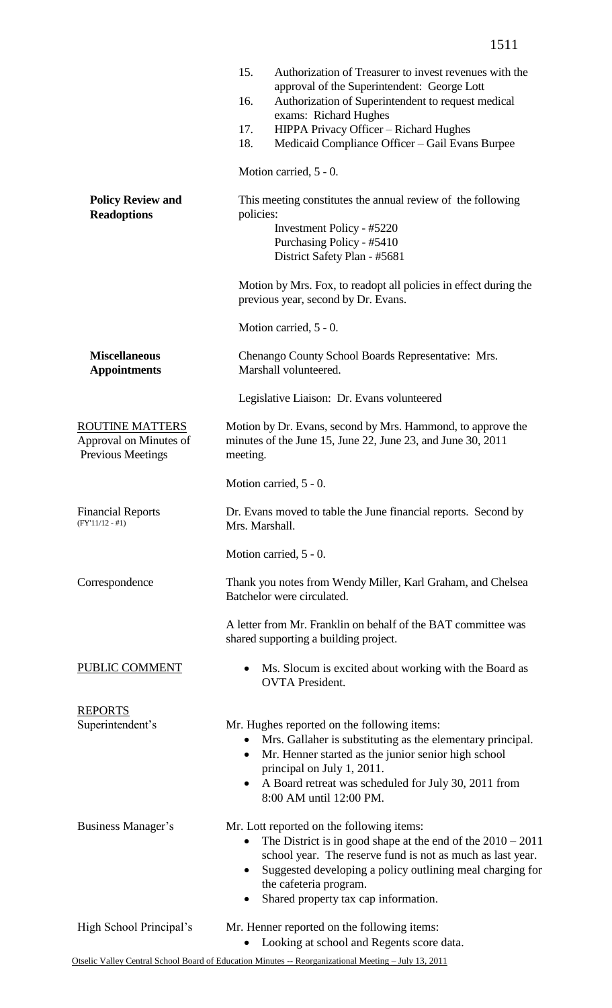|                                                                       | 15.<br>Authorization of Treasurer to invest revenues with the<br>approval of the Superintendent: George Lott<br>Authorization of Superintendent to request medical<br>16.<br>exams: Richard Hughes<br>HIPPA Privacy Officer - Richard Hughes<br>17.<br>18.<br>Medicaid Compliance Officer - Gail Evans Burpee        |  |
|-----------------------------------------------------------------------|----------------------------------------------------------------------------------------------------------------------------------------------------------------------------------------------------------------------------------------------------------------------------------------------------------------------|--|
|                                                                       | Motion carried, 5 - 0.                                                                                                                                                                                                                                                                                               |  |
| <b>Policy Review and</b><br><b>Readoptions</b>                        | This meeting constitutes the annual review of the following<br>policies:<br>Investment Policy - #5220<br>Purchasing Policy - #5410<br>District Safety Plan - #5681                                                                                                                                                   |  |
|                                                                       | Motion by Mrs. Fox, to readopt all policies in effect during the<br>previous year, second by Dr. Evans.                                                                                                                                                                                                              |  |
|                                                                       | Motion carried, 5 - 0.                                                                                                                                                                                                                                                                                               |  |
| <b>Miscellaneous</b><br><b>Appointments</b>                           | Chenango County School Boards Representative: Mrs.<br>Marshall volunteered.                                                                                                                                                                                                                                          |  |
|                                                                       | Legislative Liaison: Dr. Evans volunteered                                                                                                                                                                                                                                                                           |  |
| ROUTINE MATTERS<br>Approval on Minutes of<br><b>Previous Meetings</b> | Motion by Dr. Evans, second by Mrs. Hammond, to approve the<br>minutes of the June 15, June 22, June 23, and June 30, 2011<br>meeting.                                                                                                                                                                               |  |
|                                                                       | Motion carried, 5 - 0.                                                                                                                                                                                                                                                                                               |  |
| <b>Financial Reports</b><br>$(FY'11/12 - #1)$                         | Dr. Evans moved to table the June financial reports. Second by<br>Mrs. Marshall.                                                                                                                                                                                                                                     |  |
|                                                                       | Motion carried, 5 - 0.                                                                                                                                                                                                                                                                                               |  |
| Correspondence                                                        | Thank you notes from Wendy Miller, Karl Graham, and Chelsea<br>Batchelor were circulated.                                                                                                                                                                                                                            |  |
|                                                                       | A letter from Mr. Franklin on behalf of the BAT committee was<br>shared supporting a building project.                                                                                                                                                                                                               |  |
| PUBLIC COMMENT                                                        | Ms. Slocum is excited about working with the Board as<br><b>OVTA</b> President.                                                                                                                                                                                                                                      |  |
| <u>REPORTS</u><br>Superintendent's                                    | Mr. Hughes reported on the following items:<br>• Mrs. Gallaher is substituting as the elementary principal.<br>Mr. Henner started as the junior senior high school<br>$\bullet$<br>principal on July 1, 2011.<br>A Board retreat was scheduled for July 30, 2011 from<br>8:00 AM until 12:00 PM.                     |  |
| <b>Business Manager's</b>                                             | Mr. Lott reported on the following items:<br>The District is in good shape at the end of the $2010 - 2011$<br>$\bullet$<br>school year. The reserve fund is not as much as last year.<br>Suggested developing a policy outlining meal charging for<br>the cafeteria program.<br>Shared property tax cap information. |  |
| High School Principal's                                               | Mr. Henner reported on the following items:<br>Looking at school and Regents score data.                                                                                                                                                                                                                             |  |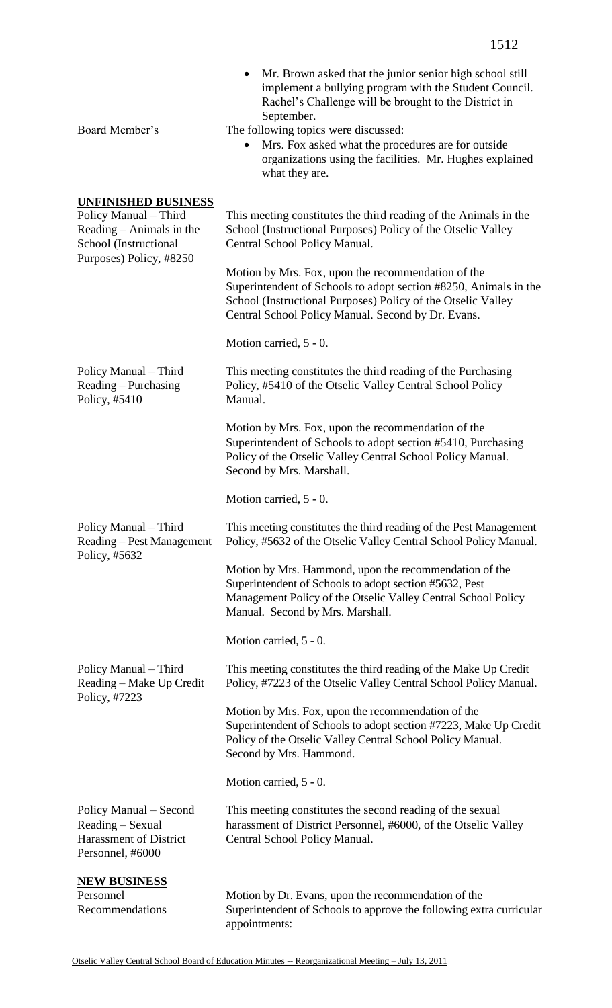| ⊥J ⊥ ∠                                                                                                                                                                                                                                                                                                                                                                |
|-----------------------------------------------------------------------------------------------------------------------------------------------------------------------------------------------------------------------------------------------------------------------------------------------------------------------------------------------------------------------|
| Mr. Brown asked that the junior senior high school still<br>implement a bullying program with the Student Council.<br>Rachel's Challenge will be brought to the District in<br>September.<br>The following topics were discussed:<br>Mrs. Fox asked what the procedures are for outside<br>organizations using the facilities. Mr. Hughes explained<br>what they are. |
| This meeting constitutes the third reading of the Animals in the<br>School (Instructional Purposes) Policy of the Otselic Valley<br>Central School Policy Manual.                                                                                                                                                                                                     |
| Motion by Mrs. Fox, upon the recommendation of the<br>Superintendent of Schools to adopt section #8250, Animals in the<br>School (Instructional Purposes) Policy of the Otselic Valley<br>Central School Policy Manual. Second by Dr. Evans.                                                                                                                          |
| Motion carried, 5 - 0.                                                                                                                                                                                                                                                                                                                                                |
| This meeting constitutes the third reading of the Purchasing<br>Policy, #5410 of the Otselic Valley Central School Policy<br>Manual.                                                                                                                                                                                                                                  |
| Motion by Mrs. Fox, upon the recommendation of the<br>Superintendent of Schools to adopt section #5410, Purchasing<br>Policy of the Otselic Valley Central School Policy Manual.<br>Second by Mrs. Marshall.                                                                                                                                                          |
| Motion carried, 5 - 0.                                                                                                                                                                                                                                                                                                                                                |
| This meeting constitutes the third reading of the Pest Management                                                                                                                                                                                                                                                                                                     |

Policy Manual – Third Reading – Pest Management Policy, #5632 Policy, #5632 of the Otselic Valley Central School Policy Manual.

> Motion by Mrs. Hammond, upon the recommendation of the Superintendent of Schools to adopt section #5632, Pest Management Policy of the Otselic Valley Central School Policy Manual. Second by Mrs. Marshall.

Motion carried, 5 - 0.

Policy Manual – Third Reading – Make Up Credit Policy, #7223 This meeting constitutes the third reading of the Make Up Credit Policy, #7223 of the Otselic Valley Central School Policy Manual.

> Motion by Mrs. Fox, upon the recommendation of the Superintendent of Schools to adopt section #7223, Make Up Credit Policy of the Otselic Valley Central School Policy Manual. Second by Mrs. Hammond.

Motion carried, 5 - 0.

Policy Manual – Second Reading – Sexual Harassment of District Personnel, #6000 This meeting constitutes the second reading of the sexual harassment of District Personnel, #6000, of the Otselic Valley Central School Policy Manual.

Board Member's

**UNFINISHED BUSINESS**

Policy Manual – Third Reading – Animals in the School (Instructional Purposes) Policy, #8250

Policy Manual – Third Reading – Purchasing

Policy, #5410

**NEW BUSINESS** Personnel Recommendations Motion by Dr. Evans, upon the recommendation of the Superintendent of Schools to approve the following extra curricular appointments: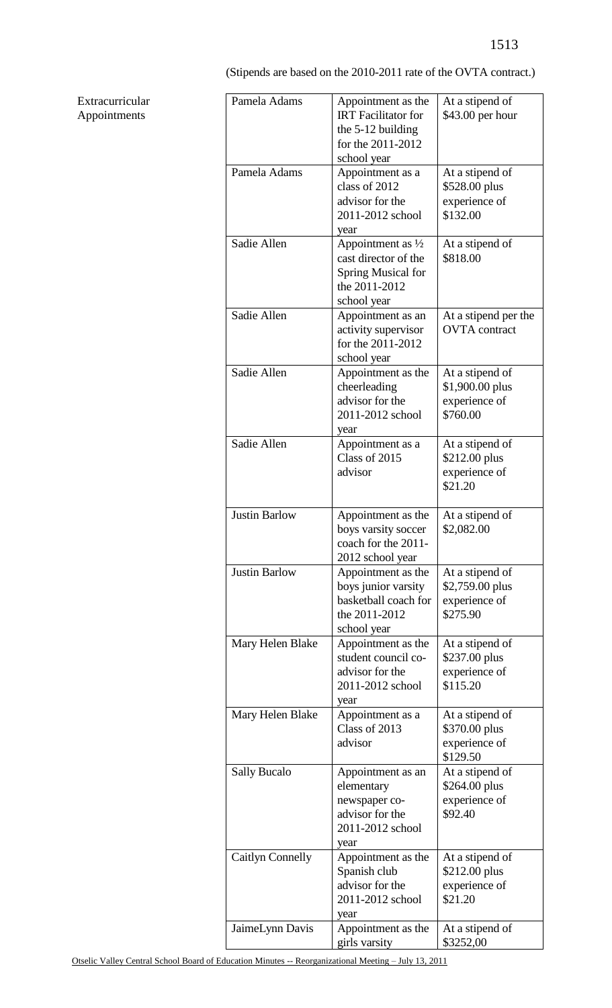(Stipends are based on the 2010-2011 rate of the OVTA contract.)

| Pamela Adams            | Appointment as the<br><b>IRT</b> Facilitator for<br>the $5-12$ building<br>for the 2011-2012<br>school year | At a stipend of<br>\$43.00 per hour                             |
|-------------------------|-------------------------------------------------------------------------------------------------------------|-----------------------------------------------------------------|
| Pamela Adams            | Appointment as a<br>class of 2012<br>advisor for the<br>2011-2012 school<br>year                            | At a stipend of<br>\$528.00 plus<br>experience of<br>\$132.00   |
| Sadie Allen             | Appointment as $\frac{1}{2}$<br>cast director of the<br>Spring Musical for<br>the 2011-2012<br>school year  | At a stipend of<br>\$818.00                                     |
| Sadie Allen             | Appointment as an<br>activity supervisor<br>for the 2011-2012<br>school year                                | At a stipend per the<br><b>OVTA</b> contract                    |
| Sadie Allen             | Appointment as the<br>cheerleading<br>advisor for the<br>2011-2012 school<br>year                           | At a stipend of<br>\$1,900.00 plus<br>experience of<br>\$760.00 |
| Sadie Allen             | Appointment as a<br>Class of 2015<br>advisor                                                                | At a stipend of<br>\$212.00 plus<br>experience of<br>\$21.20    |
| <b>Justin Barlow</b>    | Appointment as the<br>boys varsity soccer<br>coach for the 2011-<br>2012 school year                        | At a stipend of<br>\$2,082.00                                   |
| <b>Justin Barlow</b>    | Appointment as the<br>boys junior varsity<br>basketball coach for<br>the 2011-2012<br>school year           | At a stipend of<br>\$2,759.00 plus<br>experience of<br>\$275.90 |
| Mary Helen Blake        | Appointment as the<br>student council co-<br>advisor for the<br>2011-2012 school<br>year                    | At a stipend of<br>\$237.00 plus<br>experience of<br>\$115.20   |
| Mary Helen Blake        | Appointment as a<br>Class of 2013<br>advisor                                                                | At a stipend of<br>\$370.00 plus<br>experience of<br>\$129.50   |
| <b>Sally Bucalo</b>     | Appointment as an<br>elementary<br>newspaper co-<br>advisor for the<br>2011-2012 school<br>year             | At a stipend of<br>\$264.00 plus<br>experience of<br>\$92.40    |
| <b>Caitlyn Connelly</b> | Appointment as the<br>Spanish club<br>advisor for the<br>2011-2012 school<br>year                           | At a stipend of<br>\$212.00 plus<br>experience of<br>\$21.20    |
| JaimeLynn Davis         | Appointment as the<br>girls varsity                                                                         | At a stipend of<br>\$3252,00                                    |

## Extracurricular Appointments

Otselic Valley Central School Board of Education Minutes -- Reorganizational Meeting – July 13, 2011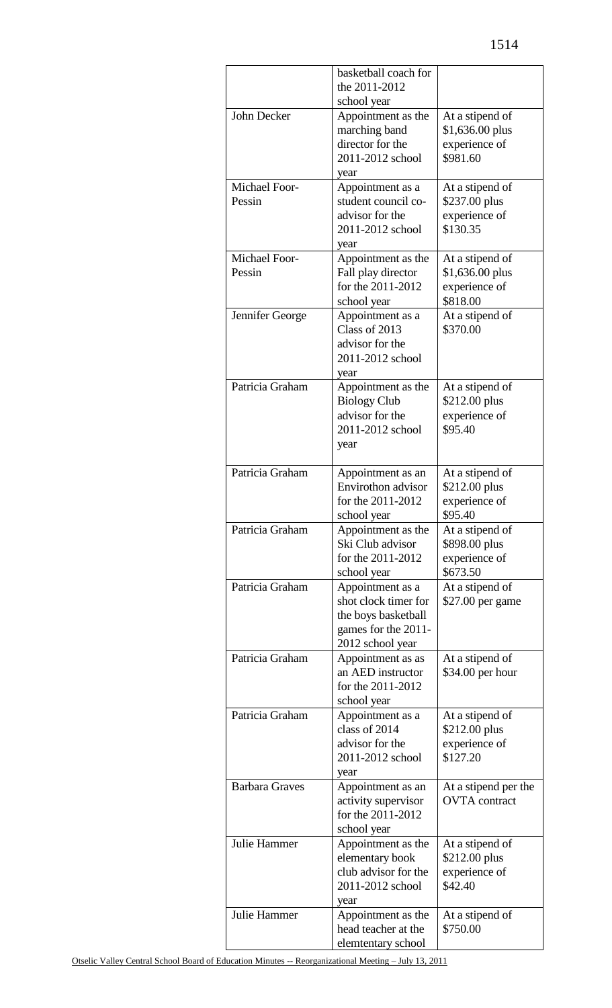|                         | basketball coach for<br>the 2011-2012<br>school year                                                       |                                                                  |
|-------------------------|------------------------------------------------------------------------------------------------------------|------------------------------------------------------------------|
| John Decker             | Appointment as the<br>marching band<br>director for the<br>2011-2012 school<br>year                        | At a stipend of<br>\$1,636.00 plus<br>experience of<br>\$981.60  |
| Michael Foor-<br>Pessin | Appointment as a<br>student council co-<br>advisor for the<br>2011-2012 school<br>year                     | At a stipend of<br>\$237.00 plus<br>experience of<br>\$130.35    |
| Michael Foor-<br>Pessin | Appointment as the<br>Fall play director<br>for the 2011-2012<br>school year                               | At a stipend of<br>$$1,636.00$ plus<br>experience of<br>\$818.00 |
| Jennifer George         | Appointment as a<br>Class of 2013<br>advisor for the<br>2011-2012 school<br>year                           | At a stipend of<br>\$370.00                                      |
| Patricia Graham         | Appointment as the<br><b>Biology Club</b><br>advisor for the<br>2011-2012 school<br>year                   | At a stipend of<br>\$212.00 plus<br>experience of<br>\$95.40     |
| Patricia Graham         | Appointment as an<br>Envirothon advisor<br>for the 2011-2012<br>school year                                | At a stipend of<br>\$212.00 plus<br>experience of<br>\$95.40     |
| Patricia Graham         | Appointment as the<br>Ski Club advisor<br>for the 2011-2012<br>school year                                 | At a stipend of<br>\$898.00 plus<br>experience of<br>\$673.50    |
| Patricia Graham         | Appointment as a<br>shot clock timer for<br>the boys basketball<br>games for the 2011-<br>2012 school year | At a stipend of<br>\$27.00 per game                              |
| Patricia Graham         | Appointment as as<br>an AED instructor<br>for the 2011-2012<br>school year                                 | At a stipend of<br>\$34.00 per hour                              |
| Patricia Graham         | Appointment as a<br>class of 2014<br>advisor for the<br>2011-2012 school<br>year                           | At a stipend of<br>\$212.00 plus<br>experience of<br>\$127.20    |
| <b>Barbara Graves</b>   | Appointment as an<br>activity supervisor<br>for the 2011-2012<br>school year                               | At a stipend per the<br><b>OVTA</b> contract                     |
| Julie Hammer            | Appointment as the<br>elementary book<br>club advisor for the<br>2011-2012 school<br>year                  | At a stipend of<br>\$212.00 plus<br>experience of<br>\$42.40     |
| <b>Julie Hammer</b>     | Appointment as the<br>head teacher at the<br>elemtentary school                                            | At a stipend of<br>\$750.00                                      |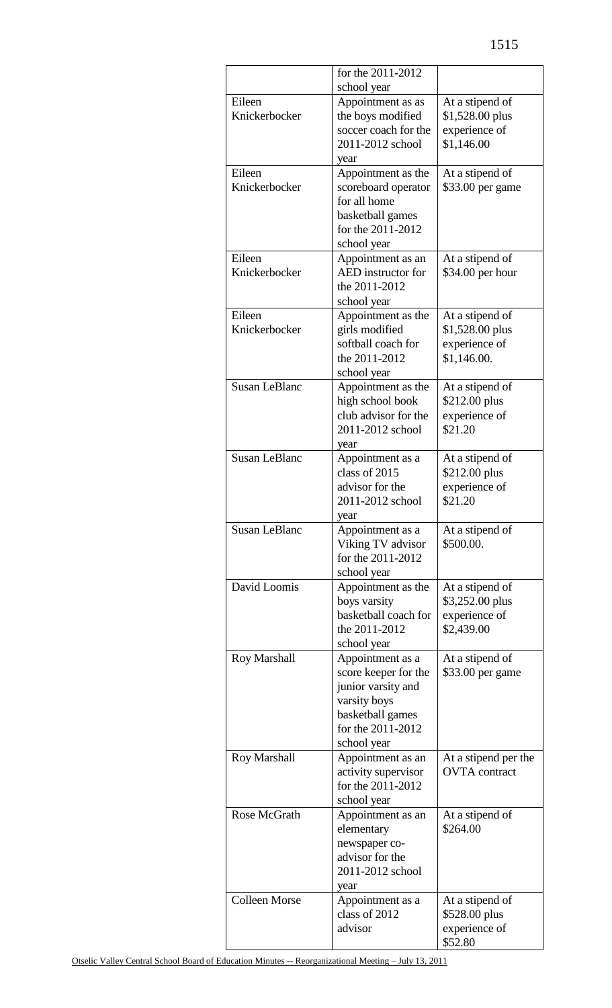|                      | for the 2011-2012                         |                          |
|----------------------|-------------------------------------------|--------------------------|
|                      | school year                               |                          |
| Eileen               | Appointment as as                         | At a stipend of          |
| Knickerbocker        | the boys modified<br>soccer coach for the | \$1,528.00 plus          |
|                      |                                           | experience of            |
|                      | 2011-2012 school                          | \$1,146.00               |
| Eileen               | year<br>Appointment as the                | At a stipend of          |
| Knickerbocker        | scoreboard operator                       | \$33.00 per game         |
|                      | for all home                              |                          |
|                      | basketball games                          |                          |
|                      | for the 2011-2012                         |                          |
|                      | school year                               |                          |
| Eileen               | Appointment as an                         | At a stipend of          |
| Knickerbocker        | <b>AED</b> instructor for                 | \$34.00 per hour         |
|                      | the 2011-2012                             |                          |
|                      | school year                               |                          |
| Eileen               | Appointment as the                        | At a stipend of          |
| Knickerbocker        | girls modified                            | \$1,528.00 plus          |
|                      | softball coach for                        | experience of            |
|                      | the 2011-2012                             | \$1,146.00.              |
|                      | school year                               |                          |
| <b>Susan LeBlanc</b> | Appointment as the                        | At a stipend of          |
|                      | high school book                          | \$212.00 plus            |
|                      | club advisor for the                      | experience of            |
|                      | 2011-2012 school                          | \$21.20                  |
|                      | year                                      |                          |
| <b>Susan LeBlanc</b> | Appointment as a                          | At a stipend of          |
|                      | class of 2015                             | \$212.00 plus            |
|                      | advisor for the<br>2011-2012 school       | experience of<br>\$21.20 |
|                      | year                                      |                          |
| <b>Susan LeBlanc</b> | Appointment as a                          | At a stipend of          |
|                      | Viking TV advisor                         | \$500.00.                |
|                      | for the 2011-2012                         |                          |
|                      | school year                               |                          |
| David Loomis         | Appointment as the                        | At a stipend of          |
|                      | boys varsity                              | \$3,252.00 plus          |
|                      | basketball coach for                      | experience of            |
|                      | the 2011-2012                             | \$2,439.00               |
|                      | school year                               |                          |
| <b>Roy Marshall</b>  | Appointment as a                          | At a stipend of          |
|                      | score keeper for the                      | \$33.00 per game         |
|                      | junior varsity and                        |                          |
|                      | varsity boys                              |                          |
|                      | basketball games                          |                          |
|                      | for the 2011-2012                         |                          |
| Roy Marshall         | school year                               | At a stipend per the     |
|                      | Appointment as an<br>activity supervisor  | <b>OVTA</b> contract     |
|                      | for the 2011-2012                         |                          |
|                      | school year                               |                          |
| Rose McGrath         | Appointment as an                         | At a stipend of          |
|                      | elementary                                | \$264.00                 |
|                      | newspaper co-                             |                          |
|                      | advisor for the                           |                          |
|                      | 2011-2012 school                          |                          |
|                      | year                                      |                          |
| <b>Colleen Morse</b> | Appointment as a                          | At a stipend of          |
|                      | class of 2012                             | \$528.00 plus            |
|                      | advisor                                   | experience of            |
|                      |                                           | \$52.80                  |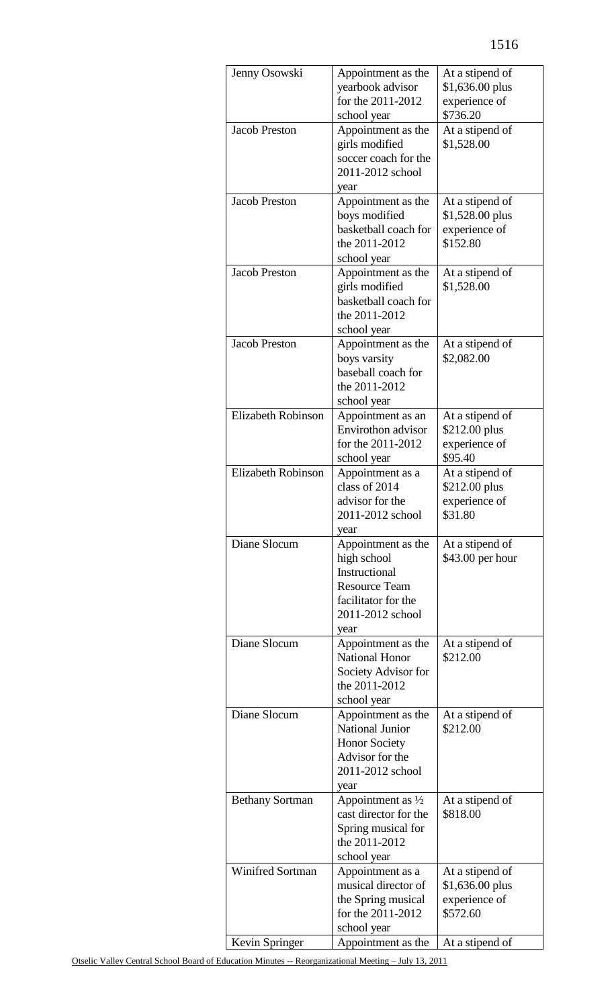| Jenny Osowski           | Appointment as the<br>At a stipend of<br>yearbook advisor<br>\$1,636.00 plus<br>for the 2011-2012<br>experience of |                                  |
|-------------------------|--------------------------------------------------------------------------------------------------------------------|----------------------------------|
|                         | school year                                                                                                        | \$736.20                         |
| <b>Jacob Preston</b>    | Appointment as the<br>girls modified                                                                               | At a stipend of<br>\$1,528.00    |
|                         | soccer coach for the<br>2011-2012 school<br>year                                                                   |                                  |
| <b>Jacob Preston</b>    | Appointment as the                                                                                                 | At a stipend of                  |
|                         | boys modified                                                                                                      | \$1,528.00 plus                  |
|                         | basketball coach for                                                                                               | experience of                    |
|                         | the 2011-2012                                                                                                      | \$152.80                         |
| <b>Jacob Preston</b>    | school year<br>Appointment as the                                                                                  | At a stipend of                  |
|                         | girls modified<br>basketball coach for                                                                             | \$1,528.00                       |
|                         | the 2011-2012<br>school year                                                                                       |                                  |
| <b>Jacob Preston</b>    | Appointment as the                                                                                                 | At a stipend of                  |
|                         | boys varsity                                                                                                       | \$2,082.00                       |
|                         | baseball coach for                                                                                                 |                                  |
|                         | the 2011-2012                                                                                                      |                                  |
| Elizabeth Robinson      | school year<br>Appointment as an                                                                                   | At a stipend of                  |
|                         | Envirothon advisor                                                                                                 | \$212.00 plus                    |
|                         | for the 2011-2012                                                                                                  | experience of                    |
|                         | school year                                                                                                        | \$95.40                          |
| Elizabeth Robinson      | Appointment as a<br>class of 2014                                                                                  | At a stipend of<br>\$212.00 plus |
|                         | advisor for the                                                                                                    | experience of                    |
|                         | 2011-2012 school                                                                                                   | \$31.80                          |
| Diane Slocum            | year<br>Appointment as the                                                                                         | At a stipend of                  |
|                         | high school                                                                                                        | \$43.00 per hour                 |
|                         | Instructional                                                                                                      |                                  |
|                         | <b>Resource Team</b>                                                                                               |                                  |
|                         | facilitator for the<br>2011-2012 school                                                                            |                                  |
|                         | year                                                                                                               |                                  |
| Diane Slocum            | Appointment as the                                                                                                 | At a stipend of                  |
|                         | <b>National Honor</b>                                                                                              | \$212.00                         |
|                         | Society Advisor for                                                                                                |                                  |
|                         | the 2011-2012<br>school year                                                                                       |                                  |
| Diane Slocum            | Appointment as the                                                                                                 | At a stipend of                  |
|                         | <b>National Junior</b>                                                                                             | \$212.00                         |
|                         | <b>Honor Society</b>                                                                                               |                                  |
|                         | Advisor for the                                                                                                    |                                  |
|                         | 2011-2012 school<br>year                                                                                           |                                  |
| <b>Bethany Sortman</b>  | Appointment as 1/2                                                                                                 | At a stipend of                  |
|                         | cast director for the                                                                                              | \$818.00                         |
|                         | Spring musical for                                                                                                 |                                  |
|                         | the 2011-2012                                                                                                      |                                  |
| <b>Winifred Sortman</b> | school year<br>Appointment as a                                                                                    | At a stipend of                  |
|                         | musical director of                                                                                                | \$1,636.00 plus                  |
|                         | the Spring musical                                                                                                 | experience of                    |
|                         | for the 2011-2012                                                                                                  | \$572.60                         |
|                         | school year<br>Appointment as the                                                                                  | At a stipend of                  |
| Kevin Springer          |                                                                                                                    |                                  |

Otselic Valley Central School Board of Education Minutes -- Reorganizational Meeting – July 13, 2011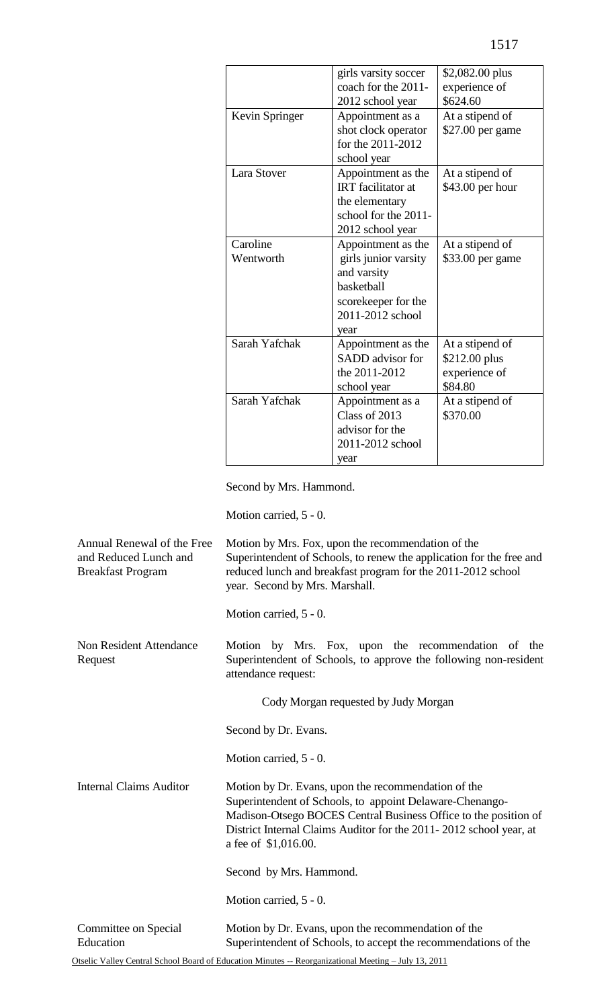|                       | girls varsity soccer<br>coach for the 2011-<br>2012 school year                                                            | \$2,082.00 plus<br>experience of<br>\$624.60                 |
|-----------------------|----------------------------------------------------------------------------------------------------------------------------|--------------------------------------------------------------|
| Kevin Springer        | Appointment as a<br>shot clock operator<br>for the 2011-2012<br>school year                                                | At a stipend of<br>\$27.00 per game                          |
| Lara Stover           | Appointment as the<br><b>IRT</b> facilitator at<br>the elementary<br>school for the 2011-<br>2012 school year              | At a stipend of<br>\$43.00 per hour                          |
| Caroline<br>Wentworth | Appointment as the<br>girls junior varsity<br>and varsity<br>basketball<br>scorekeeper for the<br>2011-2012 school<br>year | At a stipend of<br>\$33.00 per game                          |
| Sarah Yafchak         | Appointment as the<br>SADD advisor for<br>the 2011-2012<br>school year                                                     | At a stipend of<br>\$212.00 plus<br>experience of<br>\$84.80 |
| Sarah Yafchak         | Appointment as a<br>Class of 2013<br>advisor for the<br>2011-2012 school<br>year                                           | At a stipend of<br>\$370.00                                  |

Second by Mrs. Hammond.

Motion carried, 5 - 0.

| Annual Renewal of the Free<br>and Reduced Lunch and<br><b>Breakfast Program</b> | Motion by Mrs. Fox, upon the recommendation of the<br>Superintendent of Schools, to renew the application for the free and<br>reduced lunch and breakfast program for the 2011-2012 school<br>year. Second by Mrs. Marshall.                                                     |
|---------------------------------------------------------------------------------|----------------------------------------------------------------------------------------------------------------------------------------------------------------------------------------------------------------------------------------------------------------------------------|
|                                                                                 | Motion carried, 5 - 0.                                                                                                                                                                                                                                                           |
| Non Resident Attendance<br>Request                                              | Motion by Mrs. Fox, upon the recommendation of the<br>Superintendent of Schools, to approve the following non-resident<br>attendance request:                                                                                                                                    |
|                                                                                 | Cody Morgan requested by Judy Morgan                                                                                                                                                                                                                                             |
|                                                                                 | Second by Dr. Evans.                                                                                                                                                                                                                                                             |
|                                                                                 | Motion carried, 5 - 0.                                                                                                                                                                                                                                                           |
| <b>Internal Claims Auditor</b>                                                  | Motion by Dr. Evans, upon the recommendation of the<br>Superintendent of Schools, to appoint Delaware-Chenango-<br>Madison-Otsego BOCES Central Business Office to the position of<br>District Internal Claims Auditor for the 2011-2012 school year, at<br>a fee of \$1,016.00. |
|                                                                                 | Second by Mrs. Hammond.                                                                                                                                                                                                                                                          |
|                                                                                 | Motion carried, 5 - 0.                                                                                                                                                                                                                                                           |
| Committee on Special<br>Education                                               | Motion by Dr. Evans, upon the recommendation of the<br>Superintendent of Schools, to accept the recommendations of the                                                                                                                                                           |

Otselic Valley Central School Board of Education Minutes -- Reorganizational Meeting – July 13, 2011